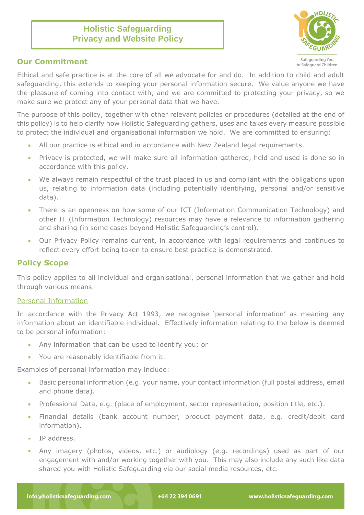# **Holistic Safeguarding Privacy and Website Policy**



# **Our Commitment**

Ethical and safe practice is at the core of all we advocate for and do. In addition to child and adult safeguarding, this extends to keeping your personal information secure. We value anyone we have the pleasure of coming into contact with, and we are committed to protecting your privacy, so we make sure we protect any of your personal data that we have.

The purpose of this policy, together with other relevant policies or procedures (detailed at the end of this policy) is to help clarify how Holistic Safeguarding gathers, uses and takes every measure possible to protect the individual and organisational information we hold. We are committed to ensuring:

- All our practice is ethical and in accordance with New Zealand legal requirements.
- Privacy is protected, we will make sure all information gathered, held and used is done so in  $\mathbb{R}^3$ accordance with this policy.
- We always remain respectful of the trust placed in us and compliant with the obligations upon  $\mathbf{r}$ us, relating to information data (including potentially identifying, personal and/or sensitive data).
- There is an openness on how some of our ICT (Information Communication Technology) and  $\mathcal{L}_{\mathcal{A}}$ other IT (Information Technology) resources may have a relevance to information gathering and sharing (in some cases beyond Holistic Safeguarding's control).
- Our Privacy Policy remains current, in accordance with legal requirements and continues to reflect every effort being taken to ensure best practice is demonstrated.

# **Policy Scope**

This policy applies to all individual and organisational, personal information that we gather and hold through various means.

## Personal Information

In accordance with the Privacy Act 1993, we recognise 'personal information' as meaning any information about an identifiable individual. Effectively information relating to the below is deemed to be personal information:

- Any information that can be used to identify you; or
- You are reasonably identifiable from it.

Examples of personal information may include:

- Basic personal information (e.g. your name, your contact information (full postal address, email  $\mathcal{L}_{\mathcal{A}}$ and phone data).
- Professional Data, e.g. (place of employment, sector representation, position title, etc.).
- Financial details (bank account number, product payment data, e.g. credit/debit card ×. information).
- IP address.
- Any imagery (photos, videos, etc.) or audiology (e.g. recordings) used as part of our ×. engagement with and/or working together with you. This may also include any such like data shared you with Holistic Safeguarding via our social media resources, etc.

+64 22 394 0691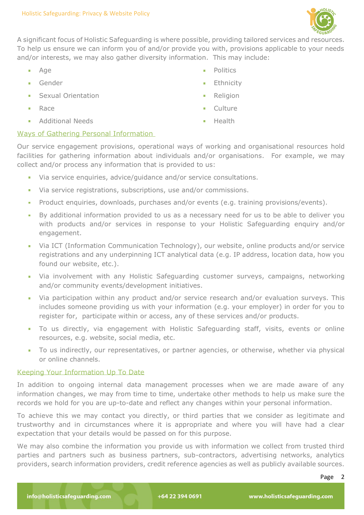

A significant focus of Holistic Safeguarding is where possible, providing tailored services and resources. To help us ensure we can inform you of and/or provide you with, provisions applicable to your needs and/or interests, we may also gather diversity information. This may include:

- $\mathbf{r}$ Age
- Gender ×.
- Sexual Orientation
- Race
- Additional Needs **COLOR**
- Politics
- Ethnicity
- **Religion**
- **Culture**
- Health  $\mathbf{m}$  .

# Ways of Gathering Personal Information

Our service engagement provisions, operational ways of working and organisational resources hold facilities for gathering information about individuals and/or organisations. For example, we may collect and/or process any information that is provided to us:

- Via service enquiries, advice/guidance and/or service consultations.
- Via service registrations, subscriptions, use and/or commissions.  $\mathcal{L}_{\mathcal{A}}$
- Product enquiries, downloads, purchases and/or events (e.g. training provisions/events).
- By additional information provided to us as a necessary need for us to be able to deliver you  $\sim$ with products and/or services in response to your Holistic Safeguarding enquiry and/or engagement.
- $\mathbf{r}$ Via ICT (Information Communication Technology), our website, online products and/or service registrations and any underpinning ICT analytical data (e.g. IP address, location data, how you found our website, etc.).
- Via involvement with any Holistic Safeguarding customer surveys, campaigns, networking and/or community events/development initiatives.
- Via participation within any product and/or service research and/or evaluation surveys. This includes someone providing us with your information (e.g. your employer) in order for you to register for, participate within or access, any of these services and/or products.
- To us directly, via engagement with Holistic Safeguarding staff, visits, events or online  $\mathbf{m}$  . resources, e.g. website, social media, etc.
- To us indirectly, our representatives, or partner agencies, or otherwise, whether via physical or online channels.

## Keeping Your Information Up To Date

In addition to ongoing internal data management processes when we are made aware of any information changes, we may from time to time, undertake other methods to help us make sure the records we hold for you are up-to-date and reflect any changes within your personal information.

To achieve this we may contact you directly, or third parties that we consider as legitimate and trustworthy and in circumstances where it is appropriate and where you will have had a clear expectation that your details would be passed on for this purpose.

We may also combine the information you provide us with information we collect from trusted third parties and partners such as business partners, sub-contractors, advertising networks, analytics providers, search information providers, credit reference agencies as well as publicly available sources.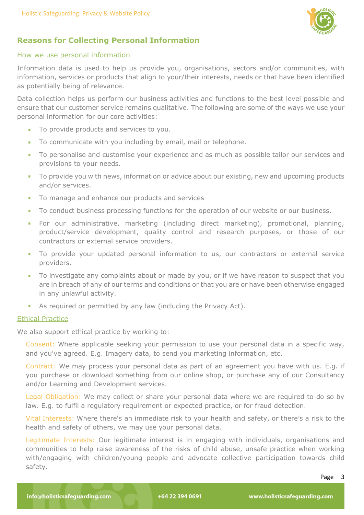

# **Reasons for Collecting Personal Information**

#### How we use personal information

Information data is used to help us provide you, organisations, sectors and/or communities, with information, services or products that align to your/their interests, needs or that have been identified as potentially being of relevance.

Data collection helps us perform our business activities and functions to the best level possible and ensure that our customer service remains qualitative. The following are some of the ways we use your personal information for our core activities:

- To provide products and services to you.
- To communicate with you including by email, mail or telephone.
- To personalise and customise your experience and as much as possible tailor our services and m. provisions to your needs.
- $\mathbf{r}$ To provide you with news, information or advice about our existing, new and upcoming products and/or services.
- To manage and enhance our products and services ٠
- To conduct business processing functions for the operation of our website or our business. ×.
- For our administrative, marketing (including direct marketing), promotional, planning, ×. product/service development, quality control and research purposes, or those of our contractors or external service providers.
- To provide your updated personal information to us, our contractors or external service providers.
- To investigate any complaints about or made by you, or if we have reason to suspect that you  $\mathcal{L}_{\mathcal{A}}$ are in breach of any of our terms and conditions or that you are or have been otherwise engaged in any unlawful activity.
- As required or permitted by any law (including the Privacy Act).

# Ethical Practice

We also support ethical practice by working to:

Consent: Where applicable seeking your permission to use your personal data in a specific way, and you've agreed. E.g. Imagery data, to send you marketing information, etc.

Contract: We may process your personal data as part of an agreement you have with us. E.g. if you purchase or download something from our online shop, or purchase any of our Consultancy and/or Learning and Development services.

Legal Obligation: We may collect or share your personal data where we are required to do so by law. E.g. to fulfil a regulatory requirement or expected practice, or for fraud detection.

Vital Interests: Where there's an immediate risk to your health and safety, or there's a risk to the health and safety of others, we may use your personal data.

Legitimate Interests: Our legitimate interest is in engaging with individuals, organisations and communities to help raise awareness of the risks of child abuse, unsafe practice when working with/engaging with children/young people and advocate collective participation towards child safety.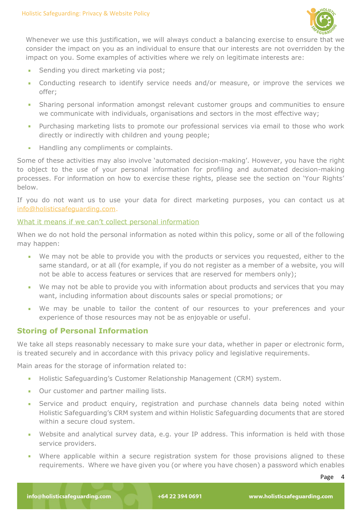

Whenever we use this justification, we will always conduct a balancing exercise to ensure that we consider the impact on you as an individual to ensure that our interests are not overridden by the impact on you. Some examples of activities where we rely on legitimate interests are:

- Sending you direct marketing via post;
- à. Conducting research to identify service needs and/or measure, or improve the services we offer;
- Sharing personal information amongst relevant customer groups and communities to ensure we communicate with individuals, organisations and sectors in the most effective way;
- Purchasing marketing lists to promote our professional services via email to those who work directly or indirectly with children and young people;
- Handling any compliments or complaints. ×.

Some of these activities may also involve 'automated decision-making'. However, you have the right to object to the use of your personal information for profiling and automated decision-making processes. For information on how to exercise these rights, please see the section on 'Your Rights' below.

If you do not want us to use your data for direct marketing purposes, you can contact us at [info@holisticsafeguarding.com.](mailto:info@holisticsafeguarding.com)

# What it means if we can't collect personal information

When we do not hold the personal information as noted within this policy, some or all of the following may happen:

- We may not be able to provide you with the products or services you requested, either to the same standard, or at all (for example, if you do not register as a member of a website, you will not be able to access features or services that are reserved for members only);
- We may not be able to provide you with information about products and services that you may want, including information about discounts sales or special promotions; or
- We may be unable to tailor the content of our resources to your preferences and your experience of those resources may not be as enjoyable or useful.

# **Storing of Personal Information**

We take all steps reasonably necessary to make sure your data, whether in paper or electronic form, is treated securely and in accordance with this privacy policy and legislative requirements.

Main areas for the storage of information related to:

- Holistic Safeguarding's Customer Relationship Management (CRM) system.
- Our customer and partner mailing lists.  $\mathbf{r}$
- Service and product enquiry, registration and purchase channels data being noted within ٠ Holistic Safeguarding's CRM system and within Holistic Safeguarding documents that are stored within a secure cloud system.
- Website and analytical survey data, e.g. your IP address. This information is held with those service providers.
- Where applicable within a secure registration system for those provisions aligned to these requirements. Where we have given you (or where you have chosen) a password which enables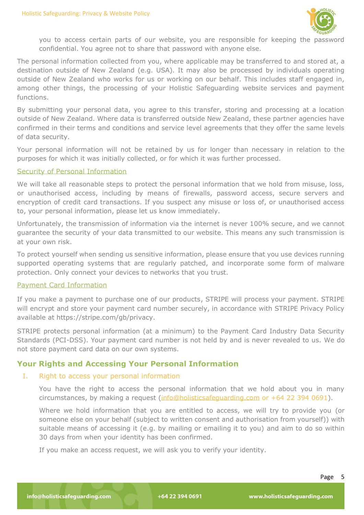

you to access certain parts of our website, you are responsible for keeping the password confidential. You agree not to share that password with anyone else.

The personal information collected from you, where applicable may be transferred to and stored at, a destination outside of New Zealand (e.g. USA). It may also be processed by individuals operating outside of New Zealand who works for us or working on our behalf. This includes staff engaged in, among other things, the processing of your Holistic Safeguarding website services and payment functions.

By submitting your personal data, you agree to this transfer, storing and processing at a location outside of New Zealand. Where data is transferred outside New Zealand, these partner agencies have confirmed in their terms and conditions and service level agreements that they offer the same levels of data security.

Your personal information will not be retained by us for longer than necessary in relation to the purposes for which it was initially collected, or for which it was further processed.

## Security of Personal Information

We will take all reasonable steps to protect the personal information that we hold from misuse, loss, or unauthorised access, including by means of firewalls, password access, secure servers and encryption of credit card transactions. If you suspect any misuse or loss of, or unauthorised access to, your personal information, please let us know immediately.

Unfortunately, the transmission of information via the internet is never 100% secure, and we cannot guarantee the security of your data transmitted to our website. This means any such transmission is at your own risk.

To protect yourself when sending us sensitive information, please ensure that you use devices running supported operating systems that are regularly patched, and incorporate some form of malware protection. Only connect your devices to networks that you trust.

## Payment Card Information

If you make a payment to purchase one of our products, STRIPE will process your payment. STRIPE will encrypt and store your payment card number securely, in accordance with STRIPE Privacy Policy available at [https://stripe.com/gb/privacy.](https://stripe.com/gb/privacy)

STRIPE protects personal information (at a minimum) to the Payment Card Industry Data Security Standards (PCI-DSS). Your payment card number is not held by and is never revealed to us. We do not store payment card data on our own systems.

## **Your Rights and Accessing Your Personal Information**

#### I. Right to access your personal information

You have the right to access the personal information that we hold about you in many circumstances, by making a request [\(info@holisticsafeguarding.com](mailto:info@holisticsafeguarding.com) or +64 22 394 0691).

Where we hold information that you are entitled to access, we will try to provide you (or someone else on your behalf (subject to written consent and authorisation from yourself)) with suitable means of accessing it (e.g. by mailing or emailing it to you) and aim to do so within 30 days from when your identity has been confirmed.

If you make an access request, we will ask you to verify your identity.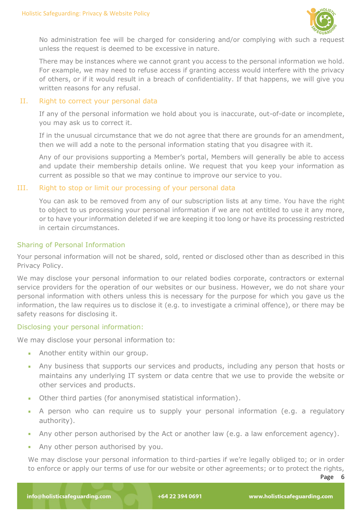

No administration fee will be charged for considering and/or complying with such a request unless the request is deemed to be excessive in nature.

There may be instances where we cannot grant you access to the personal information we hold. For example, we may need to refuse access if granting access would interfere with the privacy of others, or if it would result in a breach of confidentiality. If that happens, we will give you written reasons for any refusal.

## II. Right to correct your personal data

If any of the personal information we hold about you is inaccurate, out-of-date or incomplete, you may ask us to correct it.

If in the unusual circumstance that we do not agree that there are grounds for an amendment, then we will add a note to the personal information stating that you disagree with it.

Any of our provisions supporting a Member's portal, Members will generally be able to access and update their membership details online. We request that you keep your information as current as possible so that we may continue to improve our service to you.

# III. Right to stop or limit our processing of your personal data

You can ask to be removed from any of our subscription lists at any time. You have the right to object to us processing your personal information if we are not entitled to use it any more, or to have your information deleted if we are keeping it too long or have its processing restricted in certain circumstances.

# Sharing of Personal Information

Your personal information will not be shared, sold, rented or disclosed other than as described in this Privacy Policy.

We may disclose your personal information to our related bodies corporate, contractors or external service providers for the operation of our websites or our business. However, we do not share your personal information with others unless this is necessary for the purpose for which you gave us the information, the law requires us to disclose it (e.g. to investigate a criminal offence), or there may be safety reasons for disclosing it.

# Disclosing your personal information:

We may disclose your personal information to:

- Another entity within our group.
- Any business that supports our services and products, including any person that hosts or maintains any underlying IT system or data centre that we use to provide the website or other services and products.
- Other third parties (for anonymised statistical information).
- A person who can require us to supply your personal information (e.g. a regulatory authority).
- Any other person authorised by the Act or another law (e.g. a law enforcement agency).
- Any other person authorised by you.

We may disclose your personal information to third-parties if we're legally obliged to; or in order to enforce or apply our terms of use for our website or other agreements; or to protect the rights,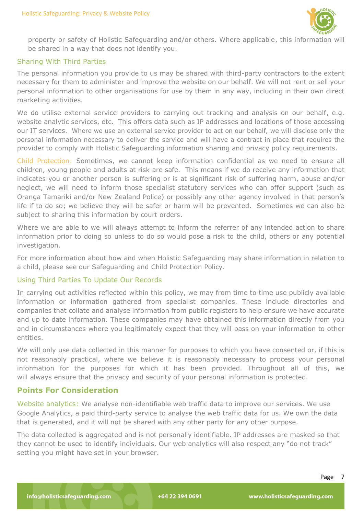

property or safety of Holistic Safeguarding and/or others. Where applicable, this information will be shared in a way that does not identify you.

#### Sharing With Third Parties

The personal information you provide to us may be shared with third-party contractors to the extent necessary for them to administer and improve the website on our behalf. We will not rent or sell your personal information to other organisations for use by them in any way, including in their own direct marketing activities.

We do utilise external service providers to carrying out tracking and analysis on our behalf, e.g. website analytic services, etc. This offers data such as IP addresses and locations of those accessing our IT services. Where we use an external service provider to act on our behalf, we will disclose only the personal information necessary to deliver the service and will have a contract in place that requires the provider to comply with Holistic Safeguarding information sharing and privacy policy requirements.

Child Protection: Sometimes, we cannot keep information confidential as we need to ensure all children, young people and adults at risk are safe. This means if we do receive any information that indicates you or another person is suffering or is at significant risk of suffering harm, abuse and/or neglect, we will need to inform those specialist statutory services who can offer support (such as Oranga Tamariki and/or New Zealand Police) or possibly any other agency involved in that person's life if to do so; we believe they will be safer or harm will be prevented. Sometimes we can also be subject to sharing this information by court orders.

Where we are able to we will always attempt to inform the referrer of any intended action to share information prior to doing so unless to do so would pose a risk to the child, others or any potential investigation.

For more information about how and when Holistic Safeguarding may share information in relation to a child, please see our Safeguarding and Child Protection Policy.

#### Using Third Parties To Update Our Records

In carrying out activities reflected within this policy, we may from time to time use publicly available information or information gathered from specialist companies. These include directories and companies that collate and analyse information from public registers to help ensure we have accurate and up to date information. These companies may have obtained this information directly from you and in circumstances where you legitimately expect that they will pass on your information to other entities.

We will only use data collected in this manner for purposes to which you have consented or, if this is not reasonably practical, where we believe it is reasonably necessary to process your personal information for the purposes for which it has been provided. Throughout all of this, we will always ensure that the privacy and security of your personal information is protected.

## **Points For Consideration**

Website analytics: We analyse non-identifiable web traffic data to improve our services. We use Google Analytics, a paid third-party service to analyse the web traffic data for us. We own the data that is generated, and it will not be shared with any other party for any other purpose.

The data collected is aggregated and is not personally identifiable. IP addresses are masked so that they cannot be used to identify individuals. Our web analytics will also respect any "do not track" setting you might have set in your browser.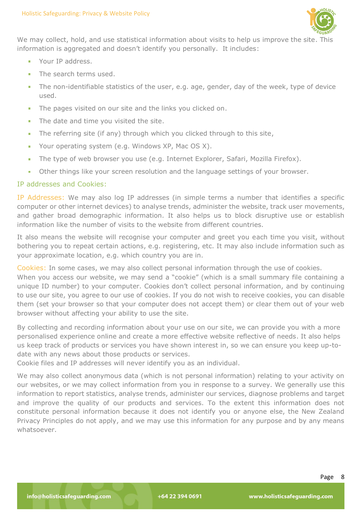

We may collect, hold, and use statistical information about visits to help us improve the site. This information is aggregated and doesn't identify you personally. It includes:

- **Your IP address.**
- The search terms used.
- The non-identifiable statistics of the user, e.g. age, gender, day of the week, type of device ×. used.
- The pages visited on our site and the links you clicked on.
- The date and time you visited the site. ٠
- The referring site (if any) through which you clicked through to this site, ٠
- Your operating system (e.g. Windows XP, Mac OS X). ×
- The type of web browser you use (e.g. Internet Explorer, Safari, Mozilla Firefox). ×,
- Other things like your screen resolution and the language settings of your browser.

## IP addresses and Cookies:

IP Addresses: We may also log IP addresses (in simple terms a number that identifies a specific computer or other internet devices) to analyse trends, administer the website, track user movements, and gather broad demographic information. It also helps us to block disruptive use or establish information like the number of visits to the website from different countries.

It also means the website will recognise your computer and greet you each time you visit, without bothering you to repeat certain actions, e.g. registering, etc. It may also include information such as your approximate location, e.g. which country you are in.

Cookies: In some cases, we may also collect personal information through the use of cookies.

When you access our website, we may send a "cookie" (which is a small summary file containing a unique ID number) to your computer. Cookies don't collect personal information, and by continuing to use our site, you agree to our use of cookies. If you do not wish to receive cookies, you can disable them (set your browser so that your computer does not accept them) or clear them out of your web browser without affecting your ability to use the site.

By collecting and recording information about your use on our site, we can provide you with a more personalised experience online and create a more effective website reflective of needs. It also helps us keep track of products or services you have shown interest in, so we can ensure you keep up-todate with any news about those products or services.

Cookie files and IP addresses will never identify you as an individual.

We may also collect anonymous data (which is not personal information) relating to your activity on our websites, or we may collect information from you in response to a survey. We generally use this information to report statistics, analyse trends, administer our services, diagnose problems and target and improve the quality of our products and services. To the extent this information does not constitute personal information because it does not identify you or anyone else, the New Zealand Privacy Principles do not apply, and we may use this information for any purpose and by any means whatsoever.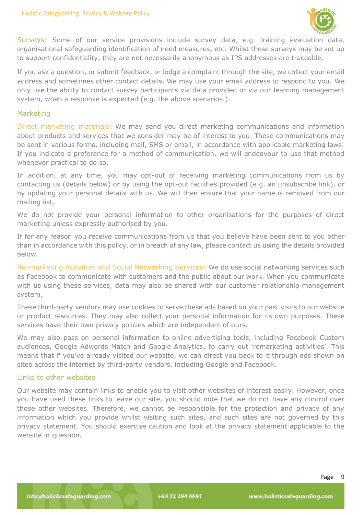

Surveys: Some of our service provisions include survey data, e.g. training evaluation data, organisational safeguarding identification of need measures, etc. Whilst these surveys may be set up to support confidentiality, they are not necessarily anonymous as IPS addresses are traceable.

If you ask a question, or submit feedback, or lodge a complaint through the site, we collect your email address and sometimes other contact details. We may use your email address to respond to you. We only use the ability to contact survey participants via data provided or via our learning management system, when a response is expected (e.g. the above scenarios.).

#### Marketing

Direct marketing materials: We may send you direct marketing communications and information about products and services that we consider may be of interest to you. These communications may be sent in various forms, including mail, SMS or email, in accordance with applicable marketing laws. If you indicate a preference for a method of communication, we will endeavour to use that method whenever practical to do so.

In addition, at any time, you may opt-out of receiving marketing communications from us by contacting us (details below) or by using the opt-out facilities provided (e.g. an unsubscribe link), or by updating your personal details with us. We will then ensure that your name is removed from our mailing list.

We do not provide your personal information to other organisations for the purposes of direct marketing unless expressly authorised by you.

If for any reason you receive communications from us that you believe have been sent to you other than in accordance with this policy, or in breach of any law, please contact us using the details provided below.

Re-marketing Activities and Social Networking Services: We do use social networking services such as Facebook to communicate with customers and the public about our work. When you communicate with us using these services, data may also be shared with our customer relationship management system.

These third-party vendors may use cookies to serve these ads based on your past visits to our website or product resources. They may also collect your personal information for its own purposes. These services have their own privacy policies which are independent of ours.

We may also pass on personal information to online advertising tools, including Facebook Custom audiences, Google Adwords Match and Google Analytics, to carry out 'remarketing activities'. This means that if you've already visited our website, we can direct you back to it through ads shown on sites across the internet by third-party vendors, including Google and Facebook.

#### Links to other websites

Our website may contain links to enable you to visit other websites of interest easily. However, once you have used these links to leave our site, you should note that we do not have any control over those other websites. Therefore, we cannot be responsible for the protection and privacy of any information which you provide whilst visiting such sites, and such sites are not governed by this privacy statement. You should exercise caution and look at the privacy statement applicable to the website in question.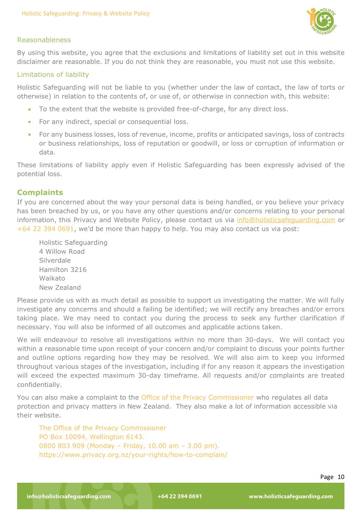

# Reasonableness

By using this website, you agree that the exclusions and limitations of liability set out in this website disclaimer are reasonable. If you do not think they are reasonable, you must not use this website.

## Limitations of liability

Holistic Safeguarding will not be liable to you (whether under the law of contact, the law of torts or otherwise) in relation to the contents of, or use of, or otherwise in connection with, this website:

- To the extent that the website is provided free-of-charge, for any direct loss.
- For any indirect, special or consequential loss.
- For any business losses, loss of revenue, income, profits or anticipated savings, loss of contracts  $\mathbf{R}$  . or business relationships, loss of reputation or goodwill, or loss or corruption of information or data.

These limitations of liability apply even if Holistic Safeguarding has been expressly advised of the potential loss.

# **Complaints**

If you are concerned about the way your personal data is being handled, or you believe your privacy has been breached by us, or you have any other questions and/or concerns relating to your personal information, this Privacy and Website Policy, please contact us via info@holisticsafequarding.com or +64 22 394 0691, we'd be more than happy to help. You may also contact us via post:

Holistic Safeguarding 4 Willow Road Silverdale Hamilton 3216 Waikato New Zealand

Please provide us with as much detail as possible to support us investigating the matter. We will fully investigate any concerns and should a failing be identified; we will rectify any breaches and/or errors taking place. We may need to contact you during the process to seek any further clarification if necessary. You will also be informed of all outcomes and applicable actions taken.

We will endeavour to resolve all investigations within no more than 30-days. We will contact you within a reasonable time upon receipt of your concern and/or complaint to discuss your points further and outline options regarding how they may be resolved. We will also aim to keep you informed throughout various stages of the investigation, including if for any reason it appears the investigation will exceed the expected maximum 30-day timeframe. All requests and/or complaints are treated confidentially.

You can also make a complaint to the Office of the Privacy Commissioner who regulates all data protection and privacy matters in New Zealand. They also make a lot of information accessible via their website.

The Office of the Privacy Commissioner PO Box 10094, Wellington 6143. 0800 803 909 (Monday – Friday, 10.00 am – 3.00 pm). https://www.privacy.org.nz/your-rights/how-to-complain/